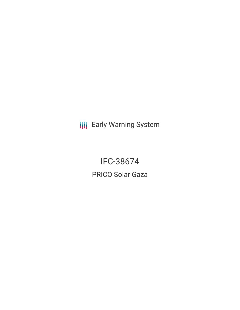**III** Early Warning System

IFC-38674 PRICO Solar Gaza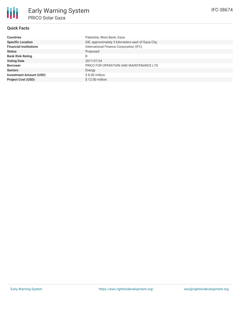| <b>Countries</b>               | Palestine, West Bank, Gaza                         |
|--------------------------------|----------------------------------------------------|
| <b>Specific Location</b>       | GIE, approximately 3 kilometers east of Gaza City. |
| <b>Financial Institutions</b>  | International Finance Corporation (IFC)            |
| <b>Status</b>                  | Proposed                                           |
| <b>Bank Risk Rating</b>        | B                                                  |
| <b>Voting Date</b>             | 2017-07-24                                         |
| <b>Borrower</b>                | PRICO FOR OPERATION AND MAINTENANCE LTD            |
| <b>Sectors</b>                 | Energy                                             |
| <b>Investment Amount (USD)</b> | $$8.00$ million                                    |
| <b>Project Cost (USD)</b>      | \$12.00 million                                    |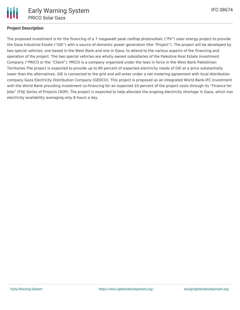

The proposed investment is for the financing of a 7 megawatt peak rooftop photovoltaic ("PV") solar energy project to provide the Gaza Industrial Estate ("GIE") with a source of domestic power generation (the "Project"). The project will be developed by two special vehicles, one based in the West Bank and one in Gaza, to attend to the various aspects of the financing and operation of the project. The two special vehicles are wholly owned subsidiaries of the Palestine Real Estate Investment Company ("PRICO or the "Client"). PRICO is a company organized under the laws in force in the West Bank Palestinian Territories.The project is expected to provide up to 80 percent of expected electricity needs of GIE at a price substantially lower than the alternatives. GIE is connected to the grid and will enter under a net metering agreement with local distribution company Gaza Electricity Distribution Company (GEDCO). This project is proposed as an integrated World Bank-IFC investment

with the World Bank providing investment co-financing for an expected 10 percent of the project costs through its "Finance for Jobs" (F4J) Series of Projects (SOP). The project is expected to help alleviate the ongoing electricity shortage in Gaza, which has electricity availability averaging only 8 hours a day.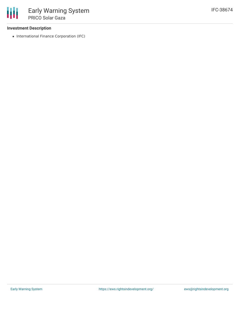## **Investment Description**

• International Finance Corporation (IFC)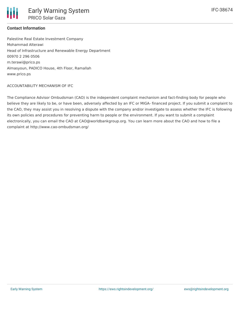## **Contact Information**

Palestine Real Estate Investment Company Mohammad Alterawi Head of Infrastructure and Renewable Energy Department 00970 2 296 0506 m.terawi@prico.ps Almasyoun, PADICO House, 4th Floor, Ramallah www.prico.ps

#### ACCOUNTABILITY MECHANISM OF IFC

The Compliance Advisor Ombudsman (CAO) is the independent complaint mechanism and fact-finding body for people who believe they are likely to be, or have been, adversely affected by an IFC or MIGA- financed project. If you submit a complaint to the CAO, they may assist you in resolving a dispute with the company and/or investigate to assess whether the IFC is following its own policies and procedures for preventing harm to people or the environment. If you want to submit a complaint electronically, you can email the CAO at CAO@worldbankgroup.org. You can learn more about the CAO and how to file a complaint at http://www.cao-ombudsman.org/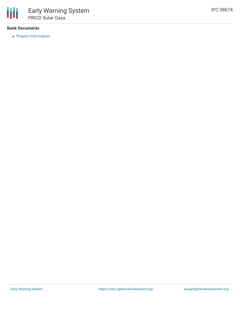### **Bank Documents**

• Project [Information](https://disclosures.ifc.org/#/projectDetail/SII/38674)